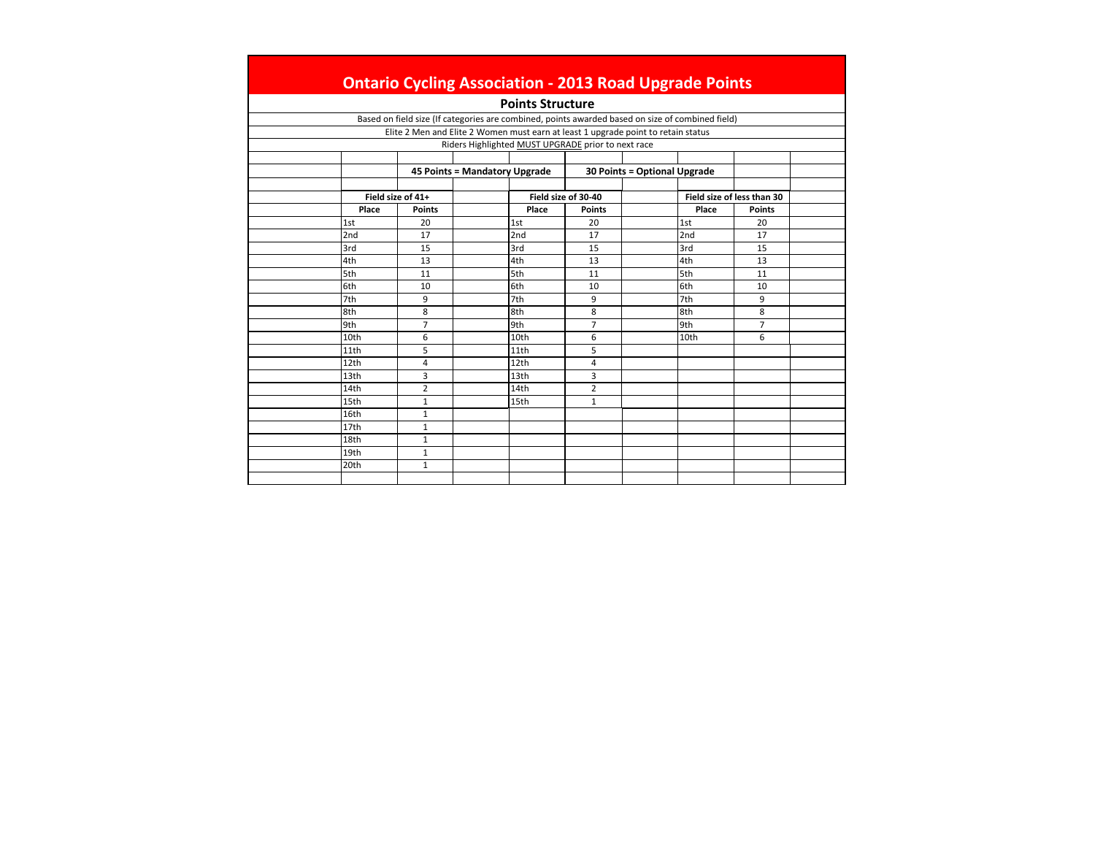|                  |                   |                               |                         | <b>Ontario Cycling Association - 2013 Road Upgrade Points</b>                                    |                              |                  |                            |  |
|------------------|-------------------|-------------------------------|-------------------------|--------------------------------------------------------------------------------------------------|------------------------------|------------------|----------------------------|--|
|                  |                   |                               | <b>Points Structure</b> |                                                                                                  |                              |                  |                            |  |
|                  |                   |                               |                         | Based on field size (If categories are combined, points awarded based on size of combined field) |                              |                  |                            |  |
|                  |                   |                               |                         | Elite 2 Men and Elite 2 Women must earn at least 1 upgrade point to retain status                |                              |                  |                            |  |
|                  |                   |                               |                         | Riders Highlighted MUST UPGRADE prior to next race                                               |                              |                  |                            |  |
|                  |                   |                               |                         |                                                                                                  |                              |                  |                            |  |
|                  |                   | 45 Points = Mandatory Upgrade |                         |                                                                                                  | 30 Points = Optional Upgrade |                  |                            |  |
|                  |                   |                               |                         |                                                                                                  |                              |                  |                            |  |
|                  | Field size of 41+ |                               |                         | Field size of 30-40                                                                              |                              |                  | Field size of less than 30 |  |
| Place            | <b>Points</b>     |                               | Place                   | <b>Points</b>                                                                                    |                              | Place            | <b>Points</b>              |  |
| 1st              | 20                |                               | 1st                     | 20                                                                                               |                              | 1st              | 20                         |  |
| 2nd              | 17                |                               | 2nd                     | 17                                                                                               |                              | 2nd              | 17                         |  |
| 3rd              | 15                |                               | 3rd                     | 15                                                                                               |                              | 3rd              | 15                         |  |
| 4th              | 13                |                               | 4th                     | 13                                                                                               |                              | 4th              | 13                         |  |
| 5th              | 11                |                               | 5th                     | 11                                                                                               |                              | 5th              | 11                         |  |
| 6th              | 10                |                               | 6th                     | 10                                                                                               |                              | 6th              | 10                         |  |
| 7th              | 9                 |                               | 7th                     | 9                                                                                                |                              | 7th              | 9                          |  |
| 8th              | 8                 |                               | 8th                     | 8                                                                                                |                              | 8th              | 8                          |  |
| 9th              | $\overline{7}$    |                               | 9th                     | $\overline{7}$                                                                                   |                              | 9th              | $\overline{7}$             |  |
| 10 <sub>th</sub> | 6                 |                               | 10 <sub>th</sub>        | 6                                                                                                |                              | 10 <sub>th</sub> | 6                          |  |
| 11th             | 5                 |                               | 11th                    | 5                                                                                                |                              |                  |                            |  |
| 12th             | 4                 |                               | 12th                    | 4                                                                                                |                              |                  |                            |  |
| 13th             | 3                 |                               | 13 <sub>th</sub>        | 3                                                                                                |                              |                  |                            |  |
| 14th             | $\overline{2}$    |                               | 14th                    | $\overline{2}$                                                                                   |                              |                  |                            |  |
| 15th             | $\mathbf{1}$      |                               | 15th                    | $\mathbf{1}$                                                                                     |                              |                  |                            |  |
| 16th             | $\mathbf{1}$      |                               |                         |                                                                                                  |                              |                  |                            |  |
| 17 <sub>th</sub> | $\mathbf{1}$      |                               |                         |                                                                                                  |                              |                  |                            |  |
| 18th             | $\mathbf{1}$      |                               |                         |                                                                                                  |                              |                  |                            |  |
| 19th             | $\mathbf{1}$      |                               |                         |                                                                                                  |                              |                  |                            |  |
| 20th             | $\mathbf{1}$      |                               |                         |                                                                                                  |                              |                  |                            |  |
|                  |                   |                               |                         |                                                                                                  |                              |                  |                            |  |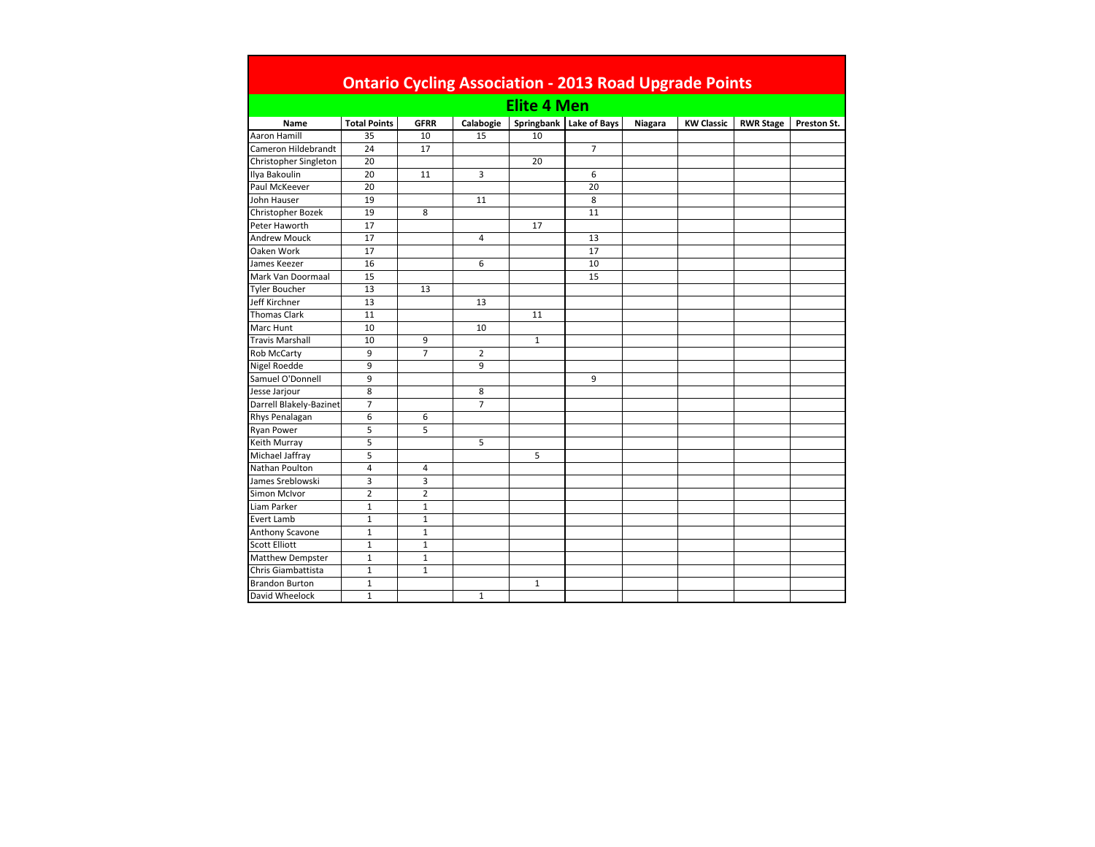|                         |                     |                |                |                    | <b>Ontario Cycling Association - 2013 Road Upgrade Points</b> |         |                   |                  |             |
|-------------------------|---------------------|----------------|----------------|--------------------|---------------------------------------------------------------|---------|-------------------|------------------|-------------|
|                         |                     |                |                | <b>Elite 4 Men</b> |                                                               |         |                   |                  |             |
| Name                    | <b>Total Points</b> | <b>GFRR</b>    | Calabogie      |                    | Springbank   Lake of Bays                                     | Niagara | <b>KW Classic</b> | <b>RWR Stage</b> | Preston St. |
| Aaron Hamill            | 35                  | 10             | 15             | 10                 |                                                               |         |                   |                  |             |
| Cameron Hildebrandt     | 24                  | 17             |                |                    | $\overline{7}$                                                |         |                   |                  |             |
| Christopher Singleton   | 20                  |                |                | 20                 |                                                               |         |                   |                  |             |
| Ilya Bakoulin           | 20                  | 11             | 3              |                    | 6                                                             |         |                   |                  |             |
| Paul McKeever           | 20                  |                |                |                    | 20                                                            |         |                   |                  |             |
| John Hauser             | 19                  |                | 11             |                    | 8                                                             |         |                   |                  |             |
| Christopher Bozek       | 19                  | 8              |                |                    | 11                                                            |         |                   |                  |             |
| Peter Haworth           | 17                  |                |                | 17                 |                                                               |         |                   |                  |             |
| <b>Andrew Mouck</b>     | 17                  |                | $\overline{4}$ |                    | 13                                                            |         |                   |                  |             |
| Oaken Work              | 17                  |                |                |                    | 17                                                            |         |                   |                  |             |
| James Keezer            | 16                  |                | 6              |                    | 10                                                            |         |                   |                  |             |
| Mark Van Doormaal       | 15                  |                |                |                    | 15                                                            |         |                   |                  |             |
| <b>Tyler Boucher</b>    | 13                  | 13             |                |                    |                                                               |         |                   |                  |             |
| Jeff Kirchner           | 13                  |                | 13             |                    |                                                               |         |                   |                  |             |
| <b>Thomas Clark</b>     | 11                  |                |                | 11                 |                                                               |         |                   |                  |             |
| Marc Hunt               | 10                  |                | 10             |                    |                                                               |         |                   |                  |             |
| <b>Travis Marshall</b>  | 10                  | 9              |                | $\mathbf{1}$       |                                                               |         |                   |                  |             |
| <b>Rob McCarty</b>      | 9                   | $\overline{7}$ | $\overline{2}$ |                    |                                                               |         |                   |                  |             |
| Nigel Roedde            | 9                   |                | 9              |                    |                                                               |         |                   |                  |             |
| Samuel O'Donnell        | 9                   |                |                |                    | 9                                                             |         |                   |                  |             |
| Jesse Jarjour           | 8                   |                | 8              |                    |                                                               |         |                   |                  |             |
| Darrell Blakely-Bazinet | $\overline{7}$      |                | $\overline{7}$ |                    |                                                               |         |                   |                  |             |
| Rhys Penalagan          | 6                   | 6              |                |                    |                                                               |         |                   |                  |             |
| <b>Ryan Power</b>       | 5                   | 5              |                |                    |                                                               |         |                   |                  |             |
| Keith Murray            | 5                   |                | 5              |                    |                                                               |         |                   |                  |             |
| Michael Jaffray         | 5                   |                |                | 5                  |                                                               |         |                   |                  |             |
| Nathan Poulton          | 4                   | 4              |                |                    |                                                               |         |                   |                  |             |
| James Sreblowski        | $\overline{3}$      | 3              |                |                    |                                                               |         |                   |                  |             |
| Simon McIvor            | $\overline{2}$      | $\overline{2}$ |                |                    |                                                               |         |                   |                  |             |
| Liam Parker             | $\mathbf{1}$        | $\mathbf{1}$   |                |                    |                                                               |         |                   |                  |             |
| <b>Evert Lamb</b>       | $\mathbf{1}$        | $\mathbf{1}$   |                |                    |                                                               |         |                   |                  |             |
| Anthony Scavone         | $\mathbf{1}$        | $\mathbf{1}$   |                |                    |                                                               |         |                   |                  |             |
| Scott Elliott           | $\mathbf{1}$        | $\mathbf{1}$   |                |                    |                                                               |         |                   |                  |             |
| <b>Matthew Dempster</b> | $\mathbf{1}$        | $\mathbf{1}$   |                |                    |                                                               |         |                   |                  |             |
| Chris Giambattista      | $\mathbf{1}$        | $\mathbf{1}$   |                |                    |                                                               |         |                   |                  |             |
| <b>Brandon Burton</b>   | $\mathbf{1}$        |                |                | $\mathbf{1}$       |                                                               |         |                   |                  |             |
| David Wheelock          | $\mathbf{1}$        |                | $\mathbf{1}$   |                    |                                                               |         |                   |                  |             |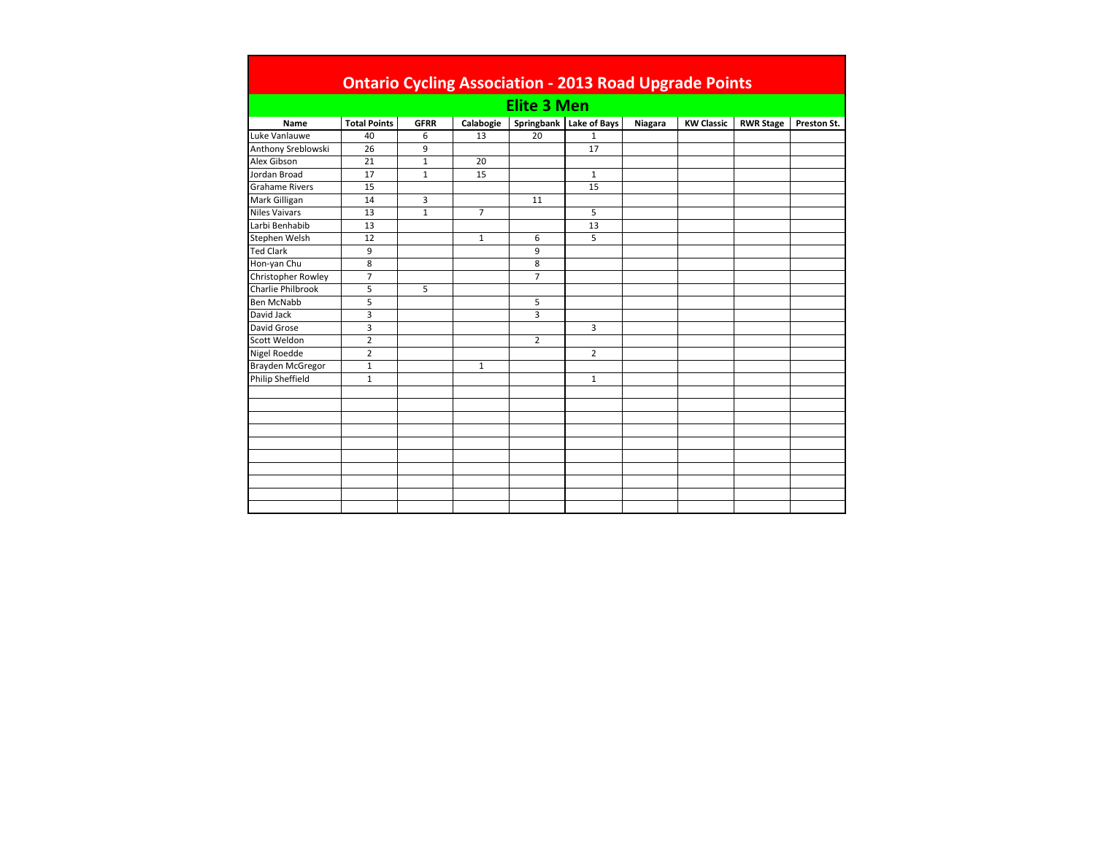|                          | <b>Ontario Cycling Association - 2013 Road Upgrade Points</b> |              |                |                    |                         |         |                   |                  |             |  |  |  |
|--------------------------|---------------------------------------------------------------|--------------|----------------|--------------------|-------------------------|---------|-------------------|------------------|-------------|--|--|--|
|                          |                                                               |              |                | <b>Elite 3 Men</b> |                         |         |                   |                  |             |  |  |  |
| <b>Name</b>              | <b>Total Points</b>                                           | <b>GFRR</b>  | Calabogie      |                    | Springbank Lake of Bays | Niagara | <b>KW Classic</b> | <b>RWR Stage</b> | Preston St. |  |  |  |
| Luke Vanlauwe            | 40                                                            | 6            | 13             | 20                 | $\mathbf{1}$            |         |                   |                  |             |  |  |  |
| Anthony Sreblowski       | 26                                                            | 9            |                |                    | 17                      |         |                   |                  |             |  |  |  |
| Alex Gibson              | 21                                                            | $\mathbf{1}$ | 20             |                    |                         |         |                   |                  |             |  |  |  |
| Jordan Broad             | 17                                                            | $\mathbf{1}$ | 15             |                    | $\mathbf{1}$            |         |                   |                  |             |  |  |  |
| <b>Grahame Rivers</b>    | 15                                                            |              |                |                    | 15                      |         |                   |                  |             |  |  |  |
| Mark Gilligan            | 14                                                            | 3            |                | 11                 |                         |         |                   |                  |             |  |  |  |
| <b>Niles Vaivars</b>     | 13                                                            | $\mathbf{1}$ | $\overline{7}$ |                    | 5                       |         |                   |                  |             |  |  |  |
| Larbi Benhabib           | 13                                                            |              |                |                    | 13                      |         |                   |                  |             |  |  |  |
| Stephen Welsh            | 12                                                            |              | $\mathbf{1}$   | 6                  | 5                       |         |                   |                  |             |  |  |  |
| <b>Ted Clark</b>         | 9                                                             |              |                | 9                  |                         |         |                   |                  |             |  |  |  |
| Hon-yan Chu              | 8                                                             |              |                | 8                  |                         |         |                   |                  |             |  |  |  |
| Christopher Rowley       | $\overline{7}$                                                |              |                | $\overline{7}$     |                         |         |                   |                  |             |  |  |  |
| <b>Charlie Philbrook</b> | 5                                                             | 5            |                |                    |                         |         |                   |                  |             |  |  |  |
| <b>Ben McNabb</b>        | 5                                                             |              |                | 5                  |                         |         |                   |                  |             |  |  |  |
| David Jack               | 3                                                             |              |                | 3                  |                         |         |                   |                  |             |  |  |  |
| David Grose              | 3                                                             |              |                |                    | 3                       |         |                   |                  |             |  |  |  |
| Scott Weldon             | $\overline{2}$                                                |              |                | $\overline{2}$     |                         |         |                   |                  |             |  |  |  |
| Nigel Roedde             | $\overline{2}$                                                |              |                |                    | $\overline{2}$          |         |                   |                  |             |  |  |  |
| Brayden McGregor         | $\mathbf{1}$                                                  |              | 1              |                    |                         |         |                   |                  |             |  |  |  |
| Philip Sheffield         | $\mathbf{1}$                                                  |              |                |                    | $\mathbf{1}$            |         |                   |                  |             |  |  |  |
|                          |                                                               |              |                |                    |                         |         |                   |                  |             |  |  |  |
|                          |                                                               |              |                |                    |                         |         |                   |                  |             |  |  |  |
|                          |                                                               |              |                |                    |                         |         |                   |                  |             |  |  |  |
|                          |                                                               |              |                |                    |                         |         |                   |                  |             |  |  |  |
|                          |                                                               |              |                |                    |                         |         |                   |                  |             |  |  |  |
|                          |                                                               |              |                |                    |                         |         |                   |                  |             |  |  |  |
|                          |                                                               |              |                |                    |                         |         |                   |                  |             |  |  |  |
|                          |                                                               |              |                |                    |                         |         |                   |                  |             |  |  |  |
|                          |                                                               |              |                |                    |                         |         |                   |                  |             |  |  |  |
|                          |                                                               |              |                |                    |                         |         |                   |                  |             |  |  |  |
|                          |                                                               |              |                |                    |                         |         |                   |                  |             |  |  |  |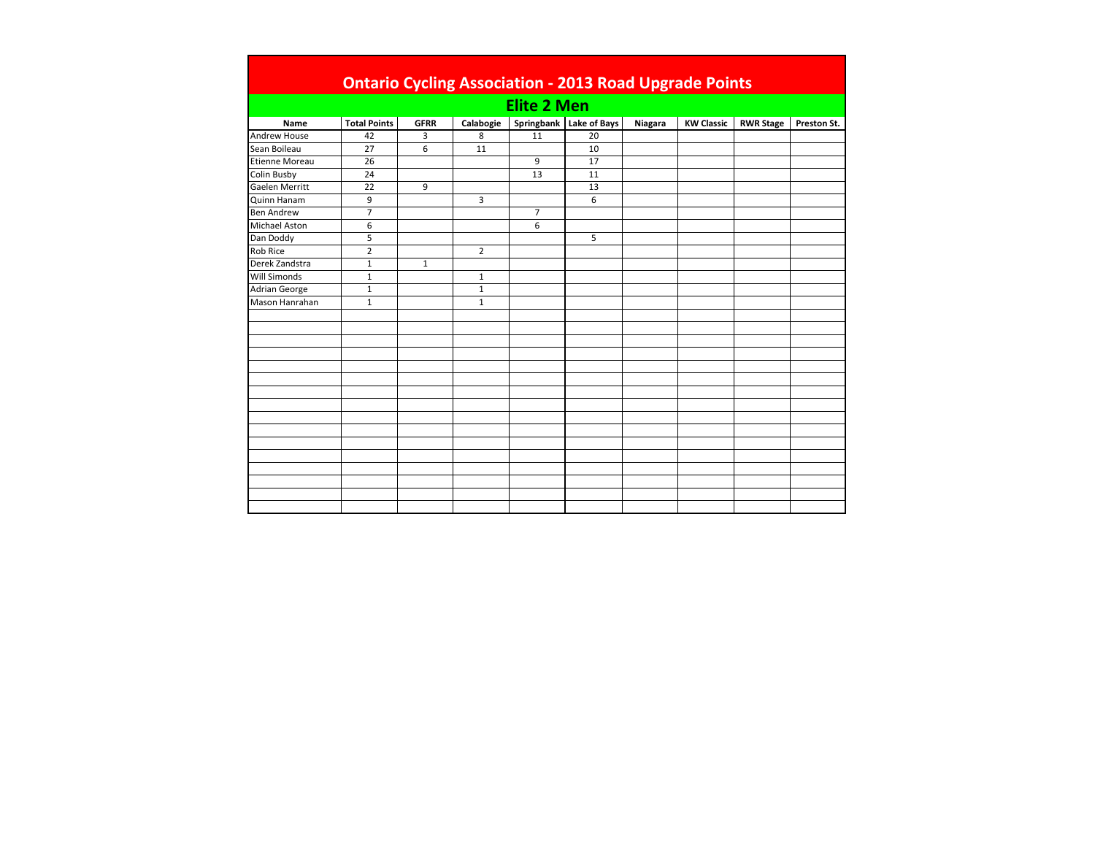|                       | <b>Ontario Cycling Association - 2013 Road Upgrade Points</b> |                |                |                    |                           |         |                   |                  |             |  |  |
|-----------------------|---------------------------------------------------------------|----------------|----------------|--------------------|---------------------------|---------|-------------------|------------------|-------------|--|--|
|                       |                                                               |                |                | <b>Elite 2 Men</b> |                           |         |                   |                  |             |  |  |
| Name                  | <b>Total Points</b>                                           | <b>GFRR</b>    | Calabogie      |                    | Springbank   Lake of Bays | Niagara | <b>KW Classic</b> | <b>RWR Stage</b> | Preston St. |  |  |
| Andrew House          | 42                                                            | 3              | 8              | 11                 | 20                        |         |                   |                  |             |  |  |
| Sean Boileau          | 27                                                            | $\overline{6}$ | 11             |                    | 10                        |         |                   |                  |             |  |  |
| <b>Etienne Moreau</b> | 26                                                            |                |                | 9                  | 17                        |         |                   |                  |             |  |  |
| <b>Colin Busby</b>    | 24                                                            |                |                | 13                 | 11                        |         |                   |                  |             |  |  |
| Gaelen Merritt        | 22                                                            | 9              |                |                    | 13                        |         |                   |                  |             |  |  |
| Quinn Hanam           | 9                                                             |                | 3              |                    | 6                         |         |                   |                  |             |  |  |
| <b>Ben Andrew</b>     | $\overline{7}$                                                |                |                | $\overline{7}$     |                           |         |                   |                  |             |  |  |
| <b>Michael Aston</b>  | 6                                                             |                |                | 6                  |                           |         |                   |                  |             |  |  |
| Dan Doddy             | 5                                                             |                |                |                    | 5                         |         |                   |                  |             |  |  |
| <b>Rob Rice</b>       | $\overline{2}$                                                |                | $\overline{2}$ |                    |                           |         |                   |                  |             |  |  |
| Derek Zandstra        | $\mathbf{1}$                                                  | $\mathbf{1}$   |                |                    |                           |         |                   |                  |             |  |  |
| <b>Will Simonds</b>   | $\mathbf 1$                                                   |                | $\mathbf{1}$   |                    |                           |         |                   |                  |             |  |  |
| <b>Adrian George</b>  | $\mathbf 1$                                                   |                | $1\,$          |                    |                           |         |                   |                  |             |  |  |
| Mason Hanrahan        | $\mathbf{1}$                                                  |                | $\mathbf{1}$   |                    |                           |         |                   |                  |             |  |  |
|                       |                                                               |                |                |                    |                           |         |                   |                  |             |  |  |
|                       |                                                               |                |                |                    |                           |         |                   |                  |             |  |  |
|                       |                                                               |                |                |                    |                           |         |                   |                  |             |  |  |
|                       |                                                               |                |                |                    |                           |         |                   |                  |             |  |  |
|                       |                                                               |                |                |                    |                           |         |                   |                  |             |  |  |
|                       |                                                               |                |                |                    |                           |         |                   |                  |             |  |  |
|                       |                                                               |                |                |                    |                           |         |                   |                  |             |  |  |
|                       |                                                               |                |                |                    |                           |         |                   |                  |             |  |  |
|                       |                                                               |                |                |                    |                           |         |                   |                  |             |  |  |
|                       |                                                               |                |                |                    |                           |         |                   |                  |             |  |  |
|                       |                                                               |                |                |                    |                           |         |                   |                  |             |  |  |
|                       |                                                               |                |                |                    |                           |         |                   |                  |             |  |  |
|                       |                                                               |                |                |                    |                           |         |                   |                  |             |  |  |
|                       |                                                               |                |                |                    |                           |         |                   |                  |             |  |  |
|                       |                                                               |                |                |                    |                           |         |                   |                  |             |  |  |
|                       |                                                               |                |                |                    |                           |         |                   |                  |             |  |  |
|                       |                                                               |                |                |                    |                           |         |                   |                  |             |  |  |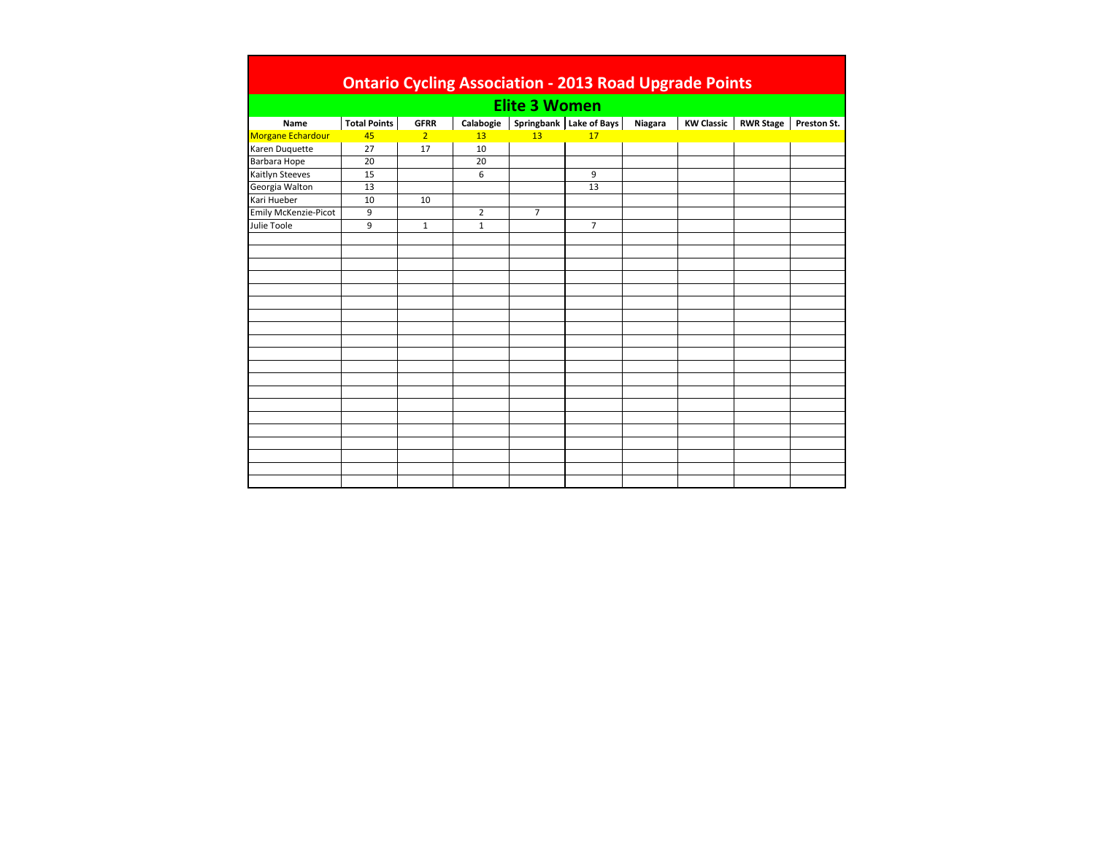|                             |                     |                |                |                      | <b>Ontario Cycling Association - 2013 Road Upgrade Points</b> |         |                   |                  |             |
|-----------------------------|---------------------|----------------|----------------|----------------------|---------------------------------------------------------------|---------|-------------------|------------------|-------------|
|                             |                     |                |                | <b>Elite 3 Women</b> |                                                               |         |                   |                  |             |
| Name                        | <b>Total Points</b> | <b>GFRR</b>    | Calabogie      |                      | Springbank   Lake of Bays                                     | Niagara | <b>KW Classic</b> | <b>RWR Stage</b> | Preston St. |
| <b>Morgane Echardour</b>    | 45                  | $\overline{2}$ | 13             | 13 <sup>°</sup>      | 17                                                            |         |                   |                  |             |
| Karen Duquette              | 27                  | 17             | 10             |                      |                                                               |         |                   |                  |             |
| Barbara Hope                | 20                  |                | 20             |                      |                                                               |         |                   |                  |             |
| Kaitlyn Steeves             | 15                  |                | 6              |                      | 9                                                             |         |                   |                  |             |
| Georgia Walton              | 13                  |                |                |                      | 13                                                            |         |                   |                  |             |
| Kari Hueber                 | 10                  | 10             |                |                      |                                                               |         |                   |                  |             |
| <b>Emily McKenzie-Picot</b> | 9                   |                | $\overline{2}$ | $\overline{7}$       |                                                               |         |                   |                  |             |
| Julie Toole                 | 9                   | $\mathbf{1}$   | $\mathbf{1}$   |                      | $\overline{7}$                                                |         |                   |                  |             |
|                             |                     |                |                |                      |                                                               |         |                   |                  |             |
|                             |                     |                |                |                      |                                                               |         |                   |                  |             |
|                             |                     |                |                |                      |                                                               |         |                   |                  |             |
|                             |                     |                |                |                      |                                                               |         |                   |                  |             |
|                             |                     |                |                |                      |                                                               |         |                   |                  |             |
|                             |                     |                |                |                      |                                                               |         |                   |                  |             |
|                             |                     |                |                |                      |                                                               |         |                   |                  |             |
|                             |                     |                |                |                      |                                                               |         |                   |                  |             |
|                             |                     |                |                |                      |                                                               |         |                   |                  |             |
|                             |                     |                |                |                      |                                                               |         |                   |                  |             |
|                             |                     |                |                |                      |                                                               |         |                   |                  |             |
|                             |                     |                |                |                      |                                                               |         |                   |                  |             |
|                             |                     |                |                |                      |                                                               |         |                   |                  |             |
|                             |                     |                |                |                      |                                                               |         |                   |                  |             |
|                             |                     |                |                |                      |                                                               |         |                   |                  |             |
|                             |                     |                |                |                      |                                                               |         |                   |                  |             |
|                             |                     |                |                |                      |                                                               |         |                   |                  |             |
|                             |                     |                |                |                      |                                                               |         |                   |                  |             |
|                             |                     |                |                |                      |                                                               |         |                   |                  |             |
|                             |                     |                |                |                      |                                                               |         |                   |                  |             |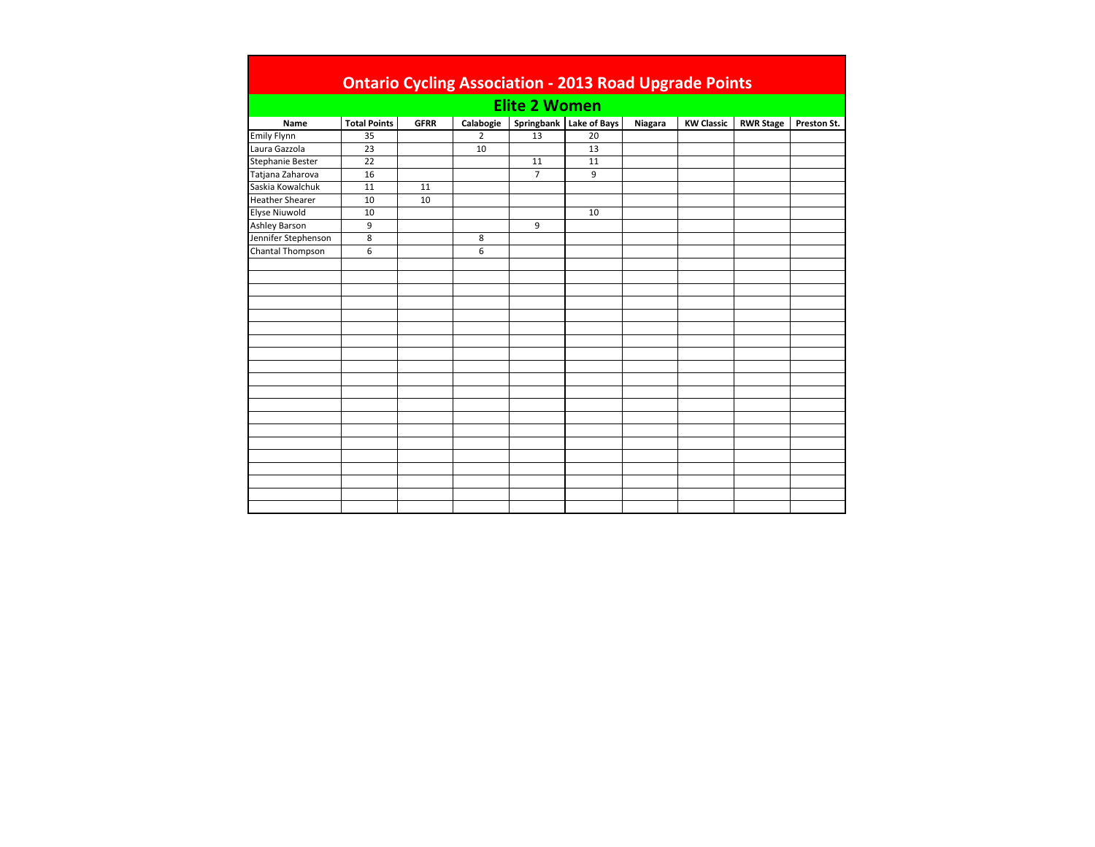|                        |                     |             |                |                      | <b>Ontario Cycling Association - 2013 Road Upgrade Points</b> |         |                   |                  |             |
|------------------------|---------------------|-------------|----------------|----------------------|---------------------------------------------------------------|---------|-------------------|------------------|-------------|
|                        |                     |             |                | <b>Elite 2 Women</b> |                                                               |         |                   |                  |             |
| Name                   | <b>Total Points</b> | <b>GFRR</b> | Calabogie      |                      | Springbank   Lake of Bays                                     | Niagara | <b>KW Classic</b> | <b>RWR Stage</b> | Preston St. |
| <b>Emily Flynn</b>     | 35                  |             | $\overline{2}$ | 13                   | 20                                                            |         |                   |                  |             |
| Laura Gazzola          | 23                  |             | 10             |                      | 13                                                            |         |                   |                  |             |
| Stephanie Bester       | 22                  |             |                | 11                   | 11                                                            |         |                   |                  |             |
| Tatjana Zaharova       | 16                  |             |                | $\overline{7}$       | 9                                                             |         |                   |                  |             |
| Saskia Kowalchuk       | 11                  | 11          |                |                      |                                                               |         |                   |                  |             |
| <b>Heather Shearer</b> | 10                  | 10          |                |                      |                                                               |         |                   |                  |             |
| <b>Elyse Niuwold</b>   | 10                  |             |                |                      | 10                                                            |         |                   |                  |             |
| <b>Ashley Barson</b>   | 9                   |             |                | 9                    |                                                               |         |                   |                  |             |
| Jennifer Stephenson    | 8                   |             | 8              |                      |                                                               |         |                   |                  |             |
| Chantal Thompson       | 6                   |             | 6              |                      |                                                               |         |                   |                  |             |
|                        |                     |             |                |                      |                                                               |         |                   |                  |             |
|                        |                     |             |                |                      |                                                               |         |                   |                  |             |
|                        |                     |             |                |                      |                                                               |         |                   |                  |             |
|                        |                     |             |                |                      |                                                               |         |                   |                  |             |
|                        |                     |             |                |                      |                                                               |         |                   |                  |             |
|                        |                     |             |                |                      |                                                               |         |                   |                  |             |
|                        |                     |             |                |                      |                                                               |         |                   |                  |             |
|                        |                     |             |                |                      |                                                               |         |                   |                  |             |
|                        |                     |             |                |                      |                                                               |         |                   |                  |             |
|                        |                     |             |                |                      |                                                               |         |                   |                  |             |
|                        |                     |             |                |                      |                                                               |         |                   |                  |             |
|                        |                     |             |                |                      |                                                               |         |                   |                  |             |
|                        |                     |             |                |                      |                                                               |         |                   |                  |             |
|                        |                     |             |                |                      |                                                               |         |                   |                  |             |
|                        |                     |             |                |                      |                                                               |         |                   |                  |             |
|                        |                     |             |                |                      |                                                               |         |                   |                  |             |
|                        |                     |             |                |                      |                                                               |         |                   |                  |             |
|                        |                     |             |                |                      |                                                               |         |                   |                  |             |
|                        |                     |             |                |                      |                                                               |         |                   |                  |             |
|                        |                     |             |                |                      |                                                               |         |                   |                  |             |
|                        |                     |             |                |                      |                                                               |         |                   |                  |             |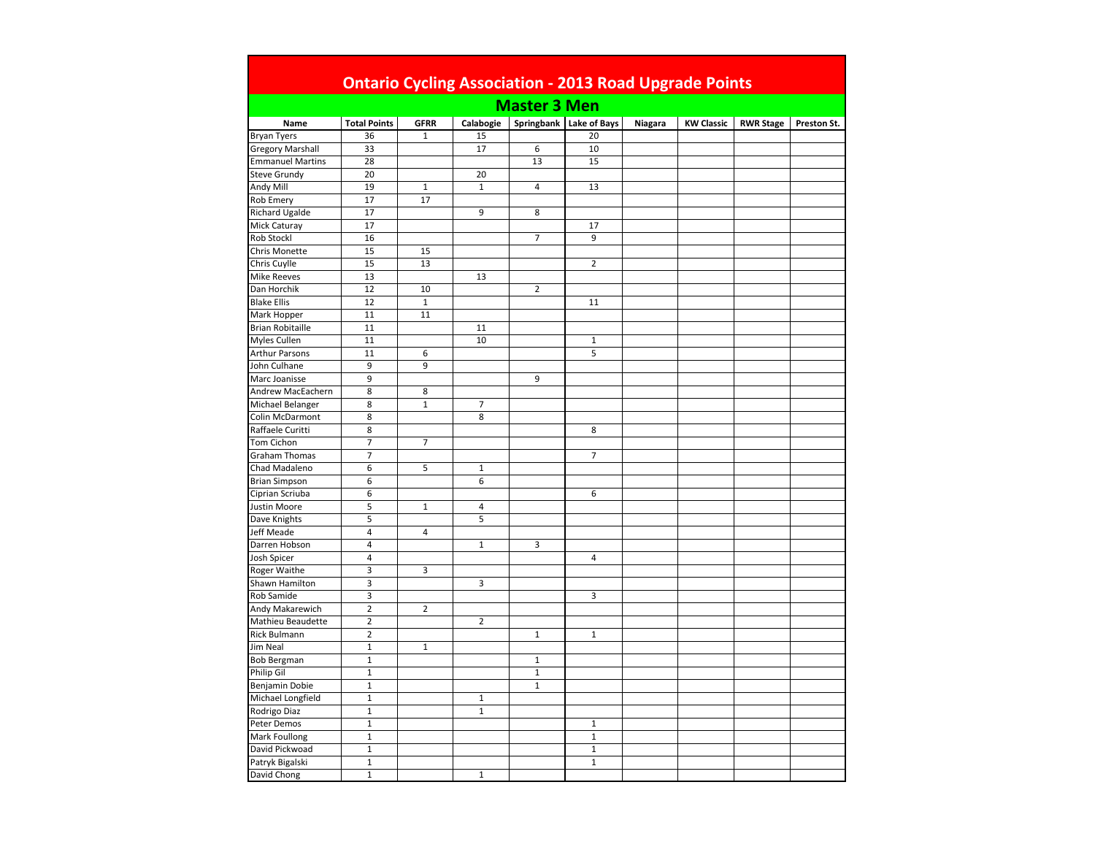|                         |                         |                |                          | <b>Master 3 Men</b> |                           |         |                   |                  |             |
|-------------------------|-------------------------|----------------|--------------------------|---------------------|---------------------------|---------|-------------------|------------------|-------------|
| Name                    | <b>Total Points</b>     | <b>GFRR</b>    | Calabogie                |                     | Springbank   Lake of Bays | Niagara | <b>KW Classic</b> | <b>RWR Stage</b> | Preston St. |
| <b>Bryan Tyers</b>      | 36                      | $\mathbf 1$    | 15                       |                     | 20                        |         |                   |                  |             |
| <b>Gregory Marshall</b> | 33                      |                | 17                       | 6                   | 10                        |         |                   |                  |             |
| <b>Emmanuel Martins</b> | 28                      |                |                          | 13                  | 15                        |         |                   |                  |             |
| <b>Steve Grundy</b>     | 20                      |                | 20                       |                     |                           |         |                   |                  |             |
| Andy Mill               | 19                      | $\mathbf{1}$   | $\mathbf 1$              | $\overline{4}$      | 13                        |         |                   |                  |             |
| Rob Emery               | 17                      | 17             |                          |                     |                           |         |                   |                  |             |
| Richard Ugalde          | 17                      |                | $\overline{9}$           | 8                   |                           |         |                   |                  |             |
| Mick Caturay            | 17                      |                |                          |                     | 17                        |         |                   |                  |             |
| Rob Stockl              | 16                      |                |                          | $\overline{7}$      | 9                         |         |                   |                  |             |
| Chris Monette           | 15                      | 15             |                          |                     |                           |         |                   |                  |             |
| Chris Cuylle            | 15                      | 13             |                          |                     | $\overline{2}$            |         |                   |                  |             |
| <b>Mike Reeves</b>      | 13                      |                | 13                       |                     |                           |         |                   |                  |             |
| Dan Horchik             | 12                      | 10             |                          | $\overline{2}$      |                           |         |                   |                  |             |
| <b>Blake Ellis</b>      | 12                      | $\mathbf 1$    |                          |                     | 11                        |         |                   |                  |             |
| Mark Hopper             | 11                      | 11             |                          |                     |                           |         |                   |                  |             |
| <b>Brian Robitaille</b> | 11                      |                | 11                       |                     |                           |         |                   |                  |             |
|                         |                         |                |                          |                     |                           |         |                   |                  |             |
| Myles Cullen            | 11                      | 6              | 10                       |                     | $\mathbf{1}$              |         |                   |                  |             |
| <b>Arthur Parsons</b>   | 11                      |                |                          |                     | 5                         |         |                   |                  |             |
| John Culhane            | 9                       | 9              |                          |                     |                           |         |                   |                  |             |
| Marc Joanisse           | 9                       |                |                          | 9                   |                           |         |                   |                  |             |
| Andrew MacEachern       | 8                       | 8              |                          |                     |                           |         |                   |                  |             |
| Michael Belanger        | 8                       | $\mathbf 1$    | $\overline{\phantom{a}}$ |                     |                           |         |                   |                  |             |
| Colin McDarmont         | 8                       |                | 8                        |                     |                           |         |                   |                  |             |
| Raffaele Curitti        | 8                       |                |                          |                     | 8                         |         |                   |                  |             |
| Tom Cichon              | $\overline{7}$          | $\overline{7}$ |                          |                     |                           |         |                   |                  |             |
| <b>Graham Thomas</b>    | $\overline{7}$          |                |                          |                     | $\overline{7}$            |         |                   |                  |             |
| Chad Madaleno           | 6                       | 5              | $\mathbf 1$              |                     |                           |         |                   |                  |             |
| <b>Brian Simpson</b>    | 6                       |                | 6                        |                     |                           |         |                   |                  |             |
| Ciprian Scriuba         | 6                       |                |                          |                     | 6                         |         |                   |                  |             |
| Justin Moore            | 5                       | $\mathbf{1}$   | 4                        |                     |                           |         |                   |                  |             |
| Dave Knights            | 5                       |                | 5                        |                     |                           |         |                   |                  |             |
| Jeff Meade              | $\overline{4}$          | $\overline{a}$ |                          |                     |                           |         |                   |                  |             |
| Darren Hobson           | 4                       |                | $\,1\,$                  | 3                   |                           |         |                   |                  |             |
| Josh Spicer             | $\overline{4}$          |                |                          |                     | $\overline{4}$            |         |                   |                  |             |
| Roger Waithe            | $\overline{\mathbf{3}}$ | 3              |                          |                     |                           |         |                   |                  |             |
| Shawn Hamilton          | 3                       |                | 3                        |                     |                           |         |                   |                  |             |
| Rob Samide              | 3                       |                |                          |                     | 3                         |         |                   |                  |             |
| Andy Makarewich         | $\overline{2}$          | $\overline{2}$ |                          |                     |                           |         |                   |                  |             |
| Mathieu Beaudette       | $\overline{2}$          |                | $\overline{2}$           |                     |                           |         |                   |                  |             |
| Rick Bulmann            | $\mathbf 2$             |                |                          | $\,1\,$             | $\mathbf 1$               |         |                   |                  |             |
| Jim Neal                | $\mathbf 1$             | $\mathbf 1$    |                          |                     |                           |         |                   |                  |             |
| <b>Bob Bergman</b>      | $\mathbf 1$             |                |                          | $\mathbf{1}$        |                           |         |                   |                  |             |
| Philip Gil              | $\mathbf 1$             |                |                          | $\mathbf 1$         |                           |         |                   |                  |             |
| Benjamin Dobie          | $\mathbf 1$             |                |                          | $1\,$               |                           |         |                   |                  |             |
| Michael Longfield       | $\mathbf{1}$            |                | $1\,$                    |                     |                           |         |                   |                  |             |
| Rodrigo Diaz            | $\mathbf{1}$            |                | $\mathbf 1$              |                     |                           |         |                   |                  |             |
| Peter Demos             | $\mathbf 1$             |                |                          |                     | $\mathbf 1$               |         |                   |                  |             |
| Mark Foullong           | $\mathbf 1$             |                |                          |                     | $\mathbf 1$               |         |                   |                  |             |
|                         | $\mathbf{1}$            |                |                          |                     | $\mathbf{1}$              |         |                   |                  |             |
| David Pickwoad          |                         |                |                          |                     | $\mathbf{1}$              |         |                   |                  |             |
| Patryk Bigalski         | $\mathbf 1$             |                | $\mathbf 1$              |                     |                           |         |                   |                  |             |